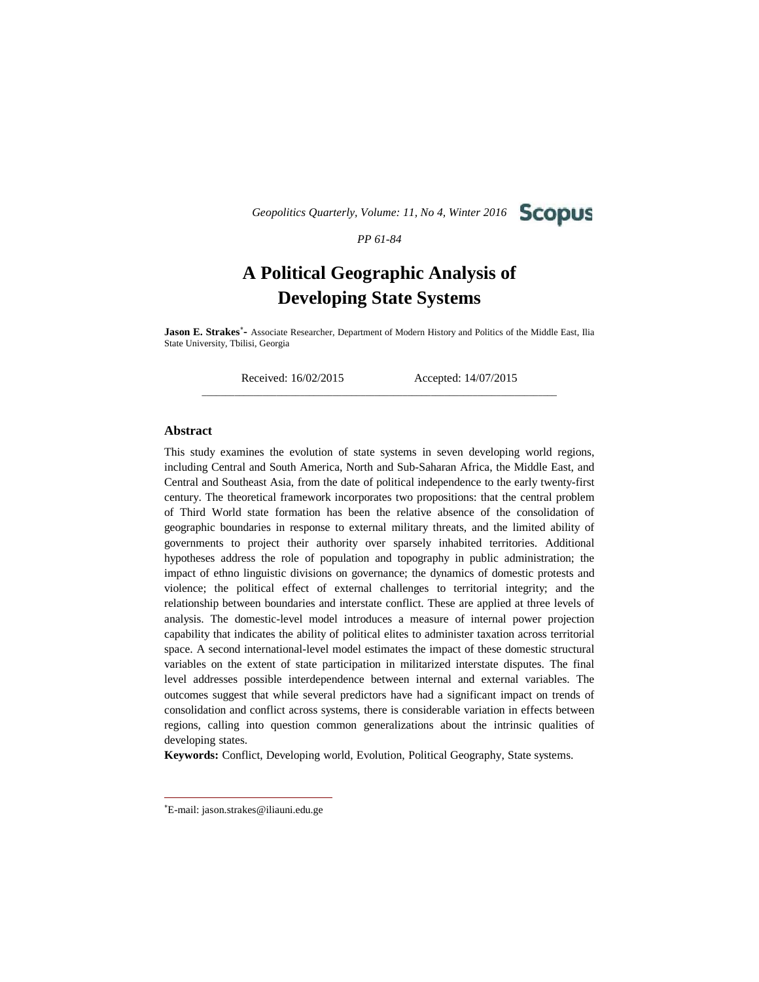*Geopolitics Quarterly, Volume: 11, No 4, Winter 2016*



*PP 61-84*

# **A Political Geographic Analysis of Developing State Systems**

**Jason E. Strakes-** Associate Researcher, Department of Modern History and Politics of the Middle East, Ilia State University, Tbilisi, Georgia

\_\_\_\_\_\_\_\_\_\_\_\_\_\_\_\_\_\_\_\_\_\_\_\_\_\_\_\_\_\_\_\_\_\_\_\_\_\_\_\_\_\_\_\_\_\_\_\_\_\_\_\_\_\_\_\_\_\_\_\_\_\_\_\_\_\_\_\_\_\_\_\_\_\_\_\_

Received: 16/02/2015 Accepted: 14/07/2015

## **Abstract**

This study examines the evolution of state systems in seven developing world regions, including Central and South America, North and Sub-Saharan Africa, the Middle East, and Central and Southeast Asia, from the date of political independence to the early twenty-first century. The theoretical framework incorporates two propositions: that the central problem of Third World state formation has been the relative absence of the consolidation of geographic boundaries in response to external military threats, and the limited ability of governments to project their authority over sparsely inhabited territories. Additional hypotheses address the role of population and topography in public administration; the impact of ethno linguistic divisions on governance; the dynamics of domestic protests and violence; the political effect of external challenges to territorial integrity; and the relationship between boundaries and interstate conflict. These are applied at three levels of analysis. The domestic-level model introduces a measure of internal power projection capability that indicates the ability of political elites to administer taxation across territorial space. A second international-level model estimates the impact of these domestic structural variables on the extent of state participation in militarized interstate disputes. The final level addresses possible interdependence between internal and external variables. The outcomes suggest that while several predictors have had a significant impact on trends of consolidation and conflict across systems, there is considerable variation in effects between regions, calling into question common generalizations about the intrinsic qualities of developing states.

**Keywords:** Conflict, Developing world, Evolution, Political Geography, State systems.

E-mail: jason.strakes@iliauni.edu.ge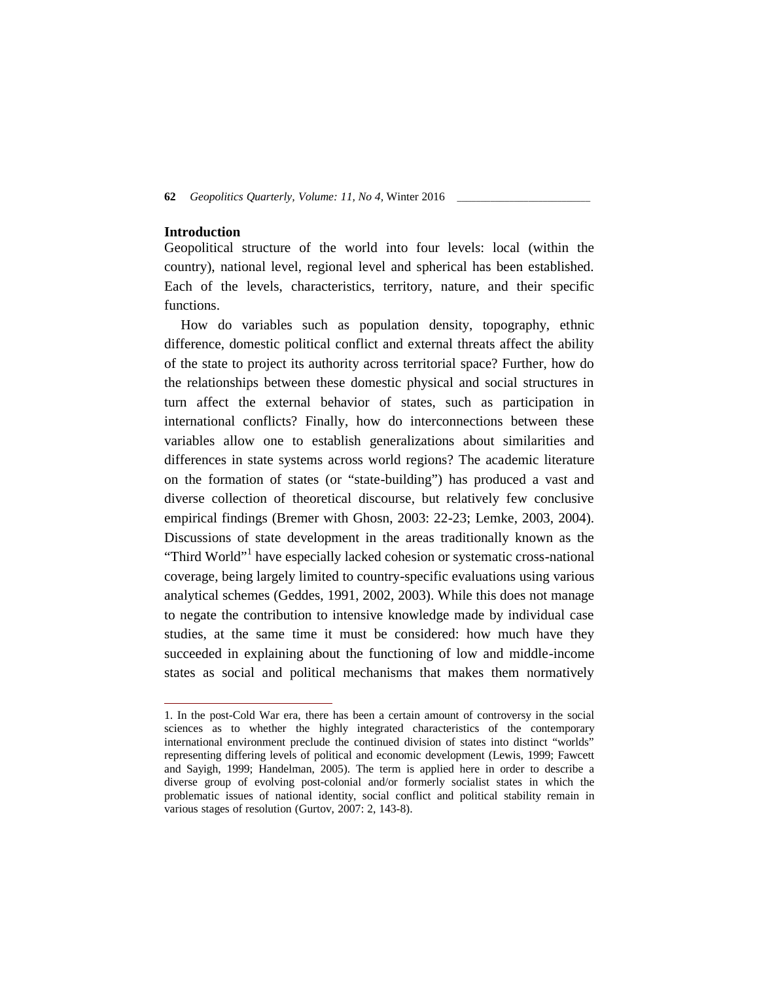## **Introduction**

Geopolitical structure of the world into four levels: local (within the country), national level, regional level and spherical has been established. Each of the levels, characteristics, territory, nature, and their specific functions.

How do variables such as population density, topography, ethnic difference, domestic political conflict and external threats affect the ability of the state to project its authority across territorial space? Further, how do the relationships between these domestic physical and social structures in turn affect the external behavior of states, such as participation in international conflicts? Finally, how do interconnections between these variables allow one to establish generalizations about similarities and differences in state systems across world regions? The academic literature on the formation of states (or "state-building") has produced a vast and diverse collection of theoretical discourse, but relatively few conclusive empirical findings (Bremer with Ghosn, 2003: 22-23; Lemke, 2003, 2004). Discussions of state development in the areas traditionally known as the "Third World"<sup>1</sup> have especially lacked cohesion or systematic cross-national coverage, being largely limited to country-specific evaluations using various analytical schemes (Geddes, 1991, 2002, 2003). While this does not manage to negate the contribution to intensive knowledge made by individual case studies, at the same time it must be considered: how much have they succeeded in explaining about the functioning of low and middle-income states as social and political mechanisms that makes them normatively

<sup>1.</sup> In the post-Cold War era, there has been a certain amount of controversy in the social sciences as to whether the highly integrated characteristics of the contemporary international environment preclude the continued division of states into distinct "worlds" representing differing levels of political and economic development (Lewis, 1999; Fawcett and Sayigh, 1999; Handelman, 2005). The term is applied here in order to describe a diverse group of evolving post-colonial and/or formerly socialist states in which the problematic issues of national identity, social conflict and political stability remain in various stages of resolution (Gurtov, 2007: 2, 143-8).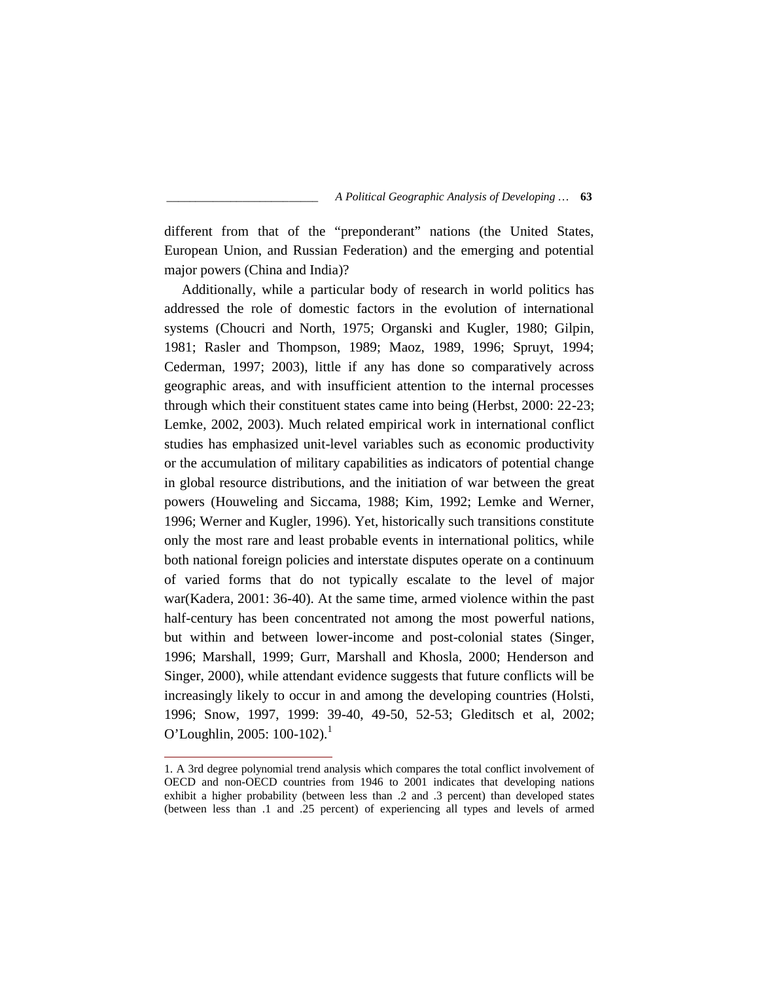different from that of the "preponderant" nations (the United States, European Union, and Russian Federation) and the emerging and potential major powers (China and India)?

Additionally, while a particular body of research in world politics has addressed the role of domestic factors in the evolution of international systems (Choucri and North, 1975; Organski and Kugler, 1980; Gilpin, 1981; Rasler and Thompson, 1989; Maoz, 1989, 1996; Spruyt, 1994; Cederman, 1997; 2003), little if any has done so comparatively across geographic areas, and with insufficient attention to the internal processes through which their constituent states came into being (Herbst, 2000: 22-23; Lemke, 2002, 2003). Much related empirical work in international conflict studies has emphasized unit-level variables such as economic productivity or the accumulation of military capabilities as indicators of potential change in global resource distributions, and the initiation of war between the great powers (Houweling and Siccama, 1988; Kim, 1992; Lemke and Werner, 1996; Werner and Kugler, 1996). Yet, historically such transitions constitute only the most rare and least probable events in international politics, while both national foreign policies and interstate disputes operate on a continuum of varied forms that do not typically escalate to the level of major war(Kadera, 2001: 36-40). At the same time, armed violence within the past half-century has been concentrated not among the most powerful nations, but within and between lower-income and post-colonial states (Singer, 1996; Marshall, 1999; Gurr, Marshall and Khosla, 2000; Henderson and Singer, 2000), while attendant evidence suggests that future conflicts will be increasingly likely to occur in and among the developing countries (Holsti, 1996; Snow, 1997, 1999: 39-40, 49-50, 52-53; Gleditsch et al, 2002; O'Loughlin, 2005:  $100-102$ ).<sup>1</sup>

<sup>1.</sup> A 3rd degree polynomial trend analysis which compares the total conflict involvement of OECD and non-OECD countries from 1946 to 2001 indicates that developing nations exhibit a higher probability (between less than .2 and .3 percent) than developed states (between less than .1 and .25 percent) of experiencing all types and levels of armed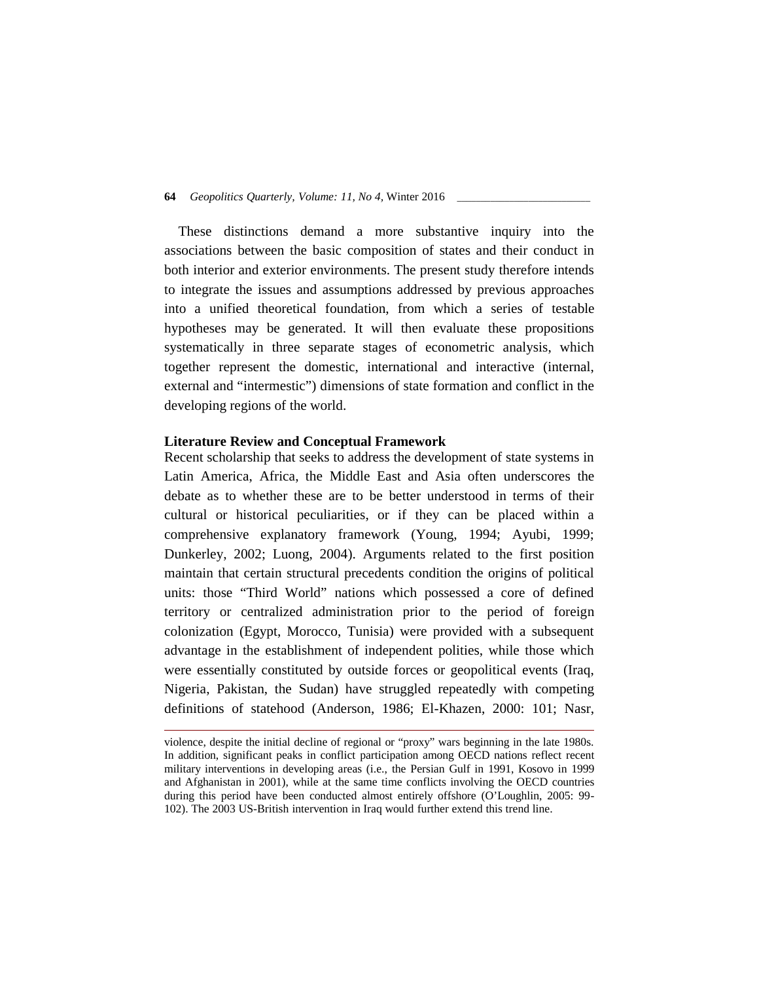These distinctions demand a more substantive inquiry into the associations between the basic composition of states and their conduct in both interior and exterior environments. The present study therefore intends to integrate the issues and assumptions addressed by previous approaches into a unified theoretical foundation, from which a series of testable hypotheses may be generated. It will then evaluate these propositions systematically in three separate stages of econometric analysis, which together represent the domestic, international and interactive (internal, external and "intermestic") dimensions of state formation and conflict in the developing regions of the world.

## **Literature Review and Conceptual Framework**

Recent scholarship that seeks to address the development of state systems in Latin America, Africa, the Middle East and Asia often underscores the debate as to whether these are to be better understood in terms of their cultural or historical peculiarities, or if they can be placed within a comprehensive explanatory framework (Young, 1994; Ayubi, 1999; Dunkerley, 2002; Luong, 2004). Arguments related to the first position maintain that certain structural precedents condition the origins of political units: those "Third World" nations which possessed a core of defined territory or centralized administration prior to the period of foreign colonization (Egypt, Morocco, Tunisia) were provided with a subsequent advantage in the establishment of independent polities, while those which were essentially constituted by outside forces or geopolitical events (Iraq, Nigeria, Pakistan, the Sudan) have struggled repeatedly with competing definitions of statehood (Anderson, 1986; El-Khazen, 2000: 101; Nasr,

violence, despite the initial decline of regional or "proxy" wars beginning in the late 1980s. In addition, significant peaks in conflict participation among OECD nations reflect recent military interventions in developing areas (i.e., the Persian Gulf in 1991, Kosovo in 1999 and Afghanistan in 2001), while at the same time conflicts involving the OECD countries during this period have been conducted almost entirely offshore (O'Loughlin, 2005: 99- 102). The 2003 US-British intervention in Iraq would further extend this trend line.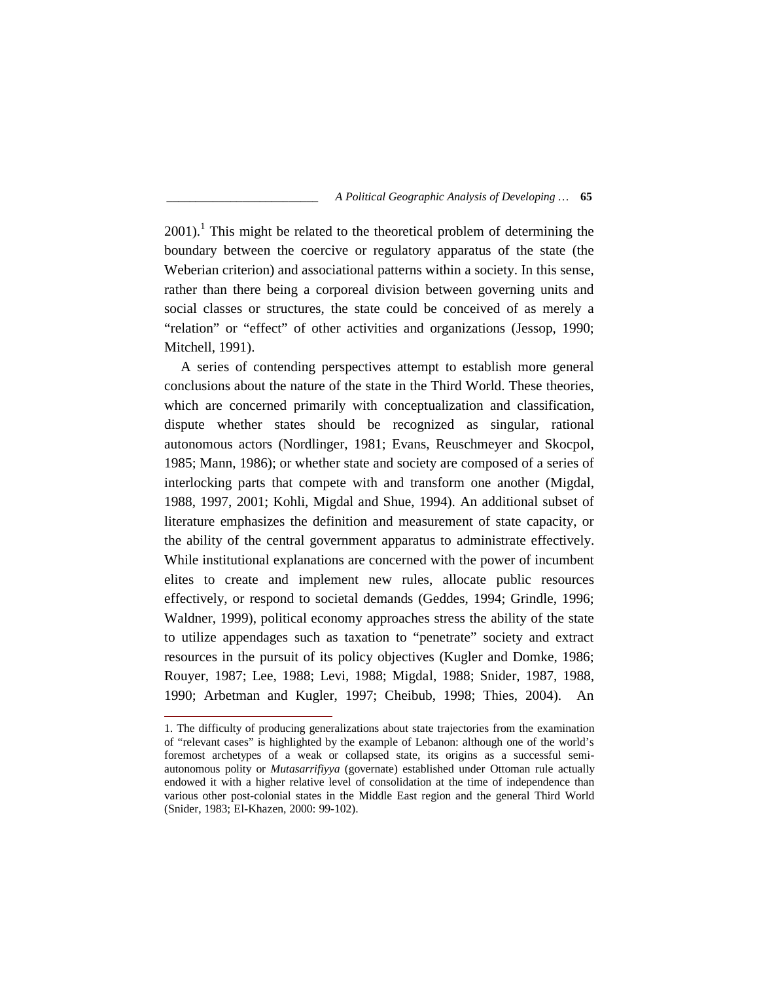$2001$ .<sup>1</sup> This might be related to the theoretical problem of determining the boundary between the coercive or regulatory apparatus of the state (the Weberian criterion) and associational patterns within a society. In this sense, rather than there being a corporeal division between governing units and social classes or structures, the state could be conceived of as merely a "relation" or "effect" of other activities and organizations (Jessop, 1990; Mitchell, 1991).

A series of contending perspectives attempt to establish more general conclusions about the nature of the state in the Third World. These theories, which are concerned primarily with conceptualization and classification, dispute whether states should be recognized as singular, rational autonomous actors (Nordlinger, 1981; Evans, Reuschmeyer and Skocpol, 1985; Mann, 1986); or whether state and society are composed of a series of interlocking parts that compete with and transform one another (Migdal, 1988, 1997, 2001; Kohli, Migdal and Shue, 1994). An additional subset of literature emphasizes the definition and measurement of state capacity, or the ability of the central government apparatus to administrate effectively. While institutional explanations are concerned with the power of incumbent elites to create and implement new rules, allocate public resources effectively, or respond to societal demands (Geddes, 1994; Grindle, 1996; Waldner, 1999), political economy approaches stress the ability of the state to utilize appendages such as taxation to "penetrate" society and extract resources in the pursuit of its policy objectives (Kugler and Domke, 1986; Rouyer, 1987; Lee, 1988; Levi, 1988; Migdal, 1988; Snider, 1987, 1988, 1990; Arbetman and Kugler, 1997; Cheibub, 1998; Thies, 2004). An

<sup>1.</sup> The difficulty of producing generalizations about state trajectories from the examination of "relevant cases" is highlighted by the example of Lebanon: although one of the world's foremost archetypes of a weak or collapsed state, its origins as a successful semi autonomous polity or *Mutasarrifiyya* (governate) established under Ottoman rule actually endowed it with a higher relative level of consolidation at the time of independence than various other post-colonial states in the Middle East region and the general Third World (Snider, 1983; El-Khazen, 2000: 99-102).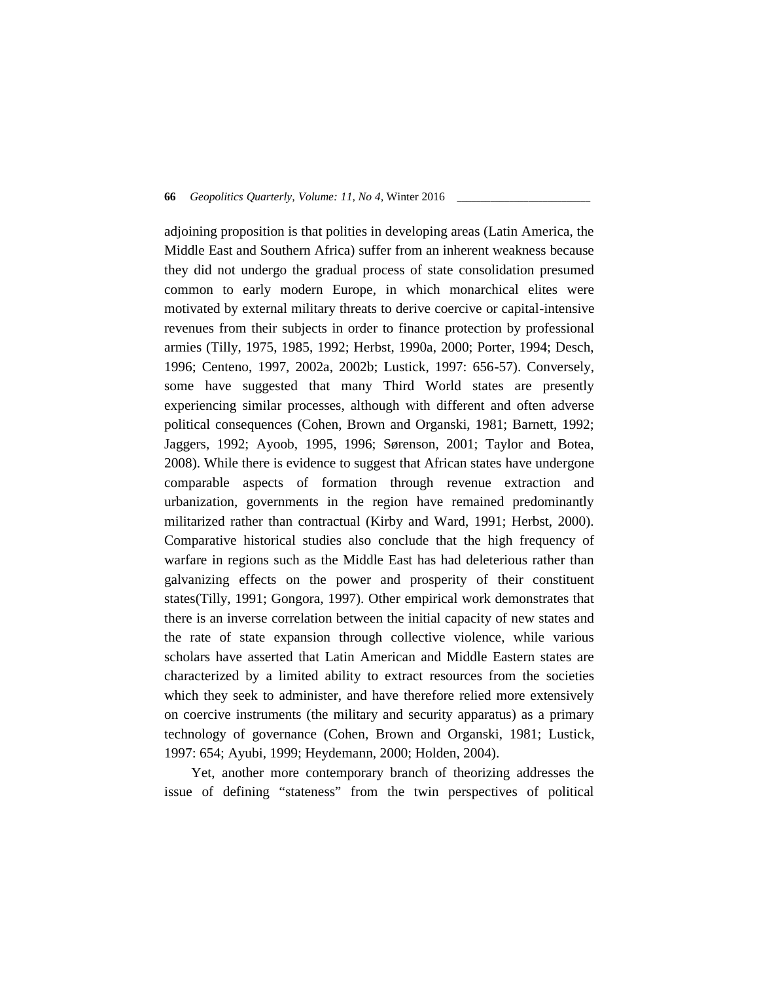adjoining proposition is that polities in developing areas (Latin America, the Middle East and Southern Africa) suffer from an inherent weakness because they did not undergo the gradual process of state consolidation presumed common to early modern Europe, in which monarchical elites were motivated by external military threats to derive coercive or capital-intensive revenues from their subjects in order to finance protection by professional armies (Tilly, 1975, 1985, 1992; Herbst, 1990a, 2000; Porter, 1994; Desch, 1996; Centeno, 1997, 2002a, 2002b; Lustick, 1997: 656-57). Conversely, some have suggested that many Third World states are presently experiencing similar processes, although with different and often adverse political consequences (Cohen, Brown and Organski, 1981; Barnett, 1992; Jaggers, 1992; Ayoob, 1995, 1996; Sørenson, 2001; Taylor and Botea, 2008). While there is evidence to suggest that African states have undergone comparable aspects of formation through revenue extraction and urbanization, governments in the region have remained predominantly militarized rather than contractual (Kirby and Ward, 1991; Herbst, 2000). Comparative historical studies also conclude that the high frequency of warfare in regions such as the Middle East has had deleterious rather than galvanizing effects on the power and prosperity of their constituent states(Tilly, 1991; Gongora, 1997). Other empirical work demonstrates that there is an inverse correlation between the initial capacity of new states and the rate of state expansion through collective violence, while various scholars have asserted that Latin American and Middle Eastern states are characterized by a limited ability to extract resources from the societies which they seek to administer, and have therefore relied more extensively on coercive instruments (the military and security apparatus) as a primary technology of governance (Cohen, Brown and Organski, 1981; Lustick, 1997: 654; Ayubi, 1999; Heydemann, 2000; Holden, 2004).

Yet, another more contemporary branch of theorizing addresses the issue of defining "stateness" from the twin perspectives of political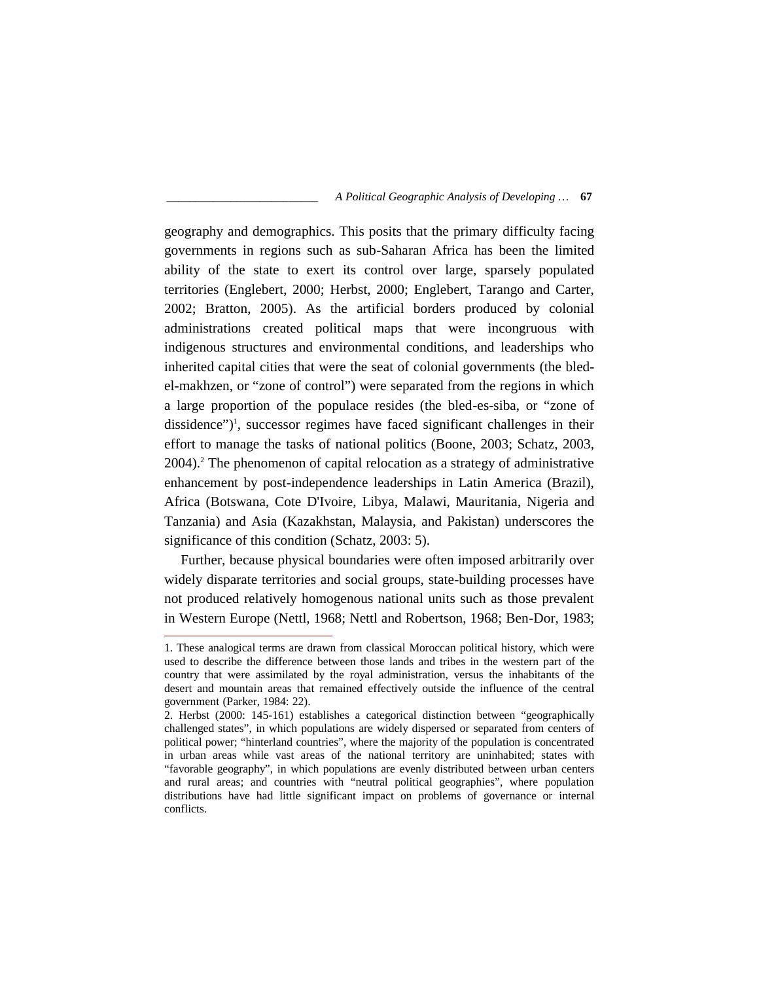geography and demographics. This posits that the primary difficulty facing governments in regions such as sub-Saharan Africa has been the limited ability of the state to exert its control over large, sparsely populated territories (Englebert, 2000; Herbst, 2000; Englebert, Tarango and Carter, 2002; Bratton, 2005). As the artificial borders produced by colonial administrations created political maps that were incongruous with indigenous structures and environmental conditions, and leaderships who inherited capital cities that were the seat of colonial governments (the bled el-makhzen, or "zone of control") were separated from the regions in which a large proportion of the populace resides (the bled-es-siba, or "zone of dissidence")<sup>1</sup>, successor regimes have faced significant challenges in their effort to manage the tasks of national politics (Boone, 2003; Schatz, 2003, 2004).<sup>2</sup> The phenomenon of capital relocation as a strategy of administrative enhancement by post-independence leaderships in Latin America (Brazil), Africa (Botswana, Cote D'Ivoire, Libya, Malawi, Mauritania, Nigeria and Tanzania) and Asia (Kazakhstan, Malaysia, and Pakistan) underscores the significance of this condition (Schatz, 2003: 5).

Further, because physical boundaries were often imposed arbitrarily over widely disparate territories and social groups, state-building processes have not produced relatively homogenous national units such as those prevalent in Western Europe (Nettl, 1968; Nettl and Robertson, 1968; Ben-Dor, 1983;

<sup>1.</sup> These analogical terms are drawn from classical Moroccan political history, which were used to describe the difference between those lands and tribes in the western part of the country that were assimilated by the royal administration, versus the inhabitants of the desert and mountain areas that remained effectively outside the influence of the central government (Parker, 1984: 22).

<sup>2.</sup> Herbst (2000: 145-161) establishes a categorical distinction between "geographically challenged states", in which populations are widely dispersed or separated from centers of political power; "hinterland countries", where the majority of the population is concentrated in urban areas while vast areas of the national territory are uninhabited; states with "favorable geography", in which populations are evenly distributed between urban centers and rural areas; and countries with "neutral political geographies", where population distributions have had little significant impact on problems of governance or internal conflicts.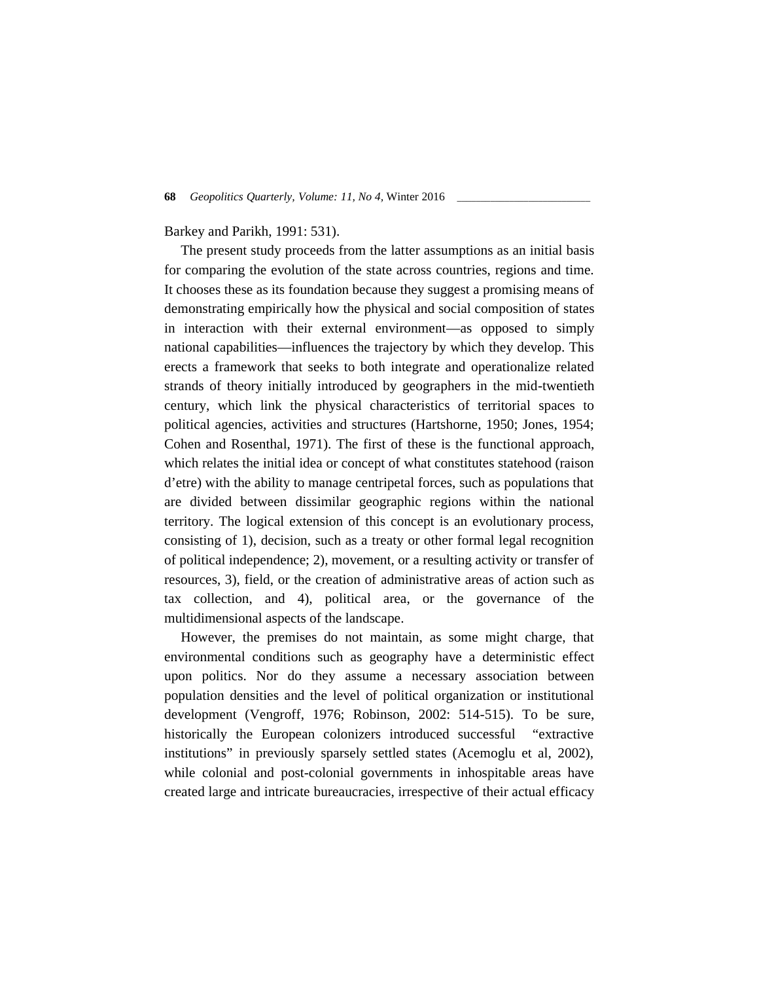## Barkey and Parikh, 1991: 531).

The present study proceeds from the latter assumptions as an initial basis for comparing the evolution of the state across countries, regions and time. It chooses these as its foundation because they suggest a promising means of demonstrating empirically how the physical and social composition of states in interaction with their external environment—as opposed to simply national capabilities—influences the trajectory by which they develop. This erects a framework that seeks to both integrate and operationalize related strands of theory initially introduced by geographers in the mid-twentieth century, which link the physical characteristics of territorial spaces to political agencies, activities and structures (Hartshorne, 1950; Jones, 1954; Cohen and Rosenthal, 1971). The first of these is the functional approach, which relates the initial idea or concept of what constitutes statehood (raison d'etre) with the ability to manage centripetal forces, such as populations that are divided between dissimilar geographic regions within the national territory. The logical extension of this concept is an evolutionary process, consisting of 1), decision, such as a treaty or other formal legal recognition of political independence; 2), movement, or a resulting activity or transfer of resources, 3), field, or the creation of administrative areas of action such as tax collection, and 4), political area, or the governance of the multidimensional aspects of the landscape.

However, the premises do not maintain, as some might charge, that environmental conditions such as geography have a deterministic effect upon politics. Nor do they assume a necessary association between population densities and the level of political organization or institutional development (Vengroff, 1976; Robinson, 2002: 514-515). To be sure, historically the European colonizers introduced successful "extractive institutions" in previously sparsely settled states (Acemoglu et al, 2002), while colonial and post-colonial governments in inhospitable areas have created large and intricate bureaucracies, irrespective of their actual efficacy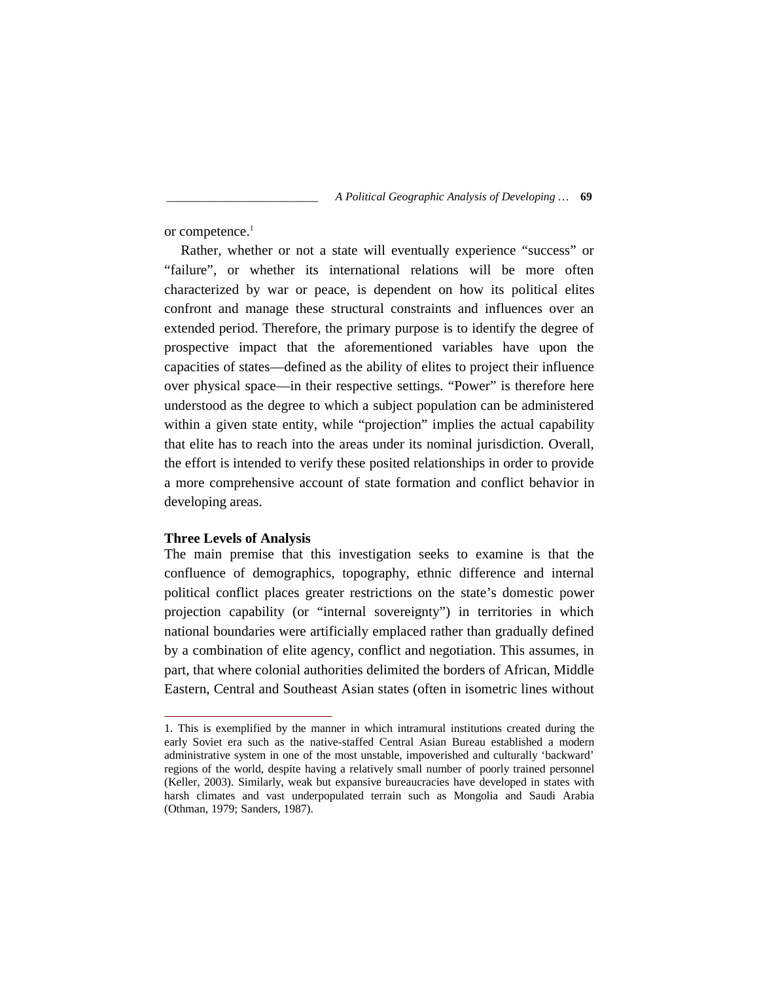or competence.<sup>1</sup>

Rather, whether or not a state will eventually experience "success" or "failure", or whether its international relations will be more often characterized by war or peace, is dependent on how its political elites confront and manage these structural constraints and influences over an extended period. Therefore, the primary purpose is to identify the degree of prospective impact that the aforementioned variables have upon the capacities of states—defined as the ability of elites to project their influence over physical space—in their respective settings. "Power" is therefore here understood as the degree to which a subject population can be administered within a given state entity, while "projection" implies the actual capability that elite has to reach into the areas under its nominal jurisdiction. Overall, the effort is intended to verify these posited relationships in order to provide a more comprehensive account of state formation and conflict behavior in developing areas.

## **Three Levels of Analysis**

The main premise that this investigation seeks to examine is that the confluence of demographics, topography, ethnic difference and internal political conflict places greater restrictions on the state's domestic power projection capability (or "internal sovereignty") in territories in which national boundaries were artificially emplaced rather than gradually defined by a combination of elite agency, conflict and negotiation. This assumes, in part, that where colonial authorities delimited the borders of African, Middle Eastern, Central and Southeast Asian states (often in isometric lines without

<sup>1.</sup> This is exemplified by the manner in which intramural institutions created during the early Soviet era such as the native-staffed Central Asian Bureau established a modern administrative system in one of the most unstable, impoverished and culturally 'backward' regions of the world, despite having a relatively small number of poorly trained personnel (Keller, 2003). Similarly, weak but expansive bureaucracies have developed in states with harsh climates and vast underpopulated terrain such as Mongolia and Saudi Arabia (Othman, 1979; Sanders, 1987).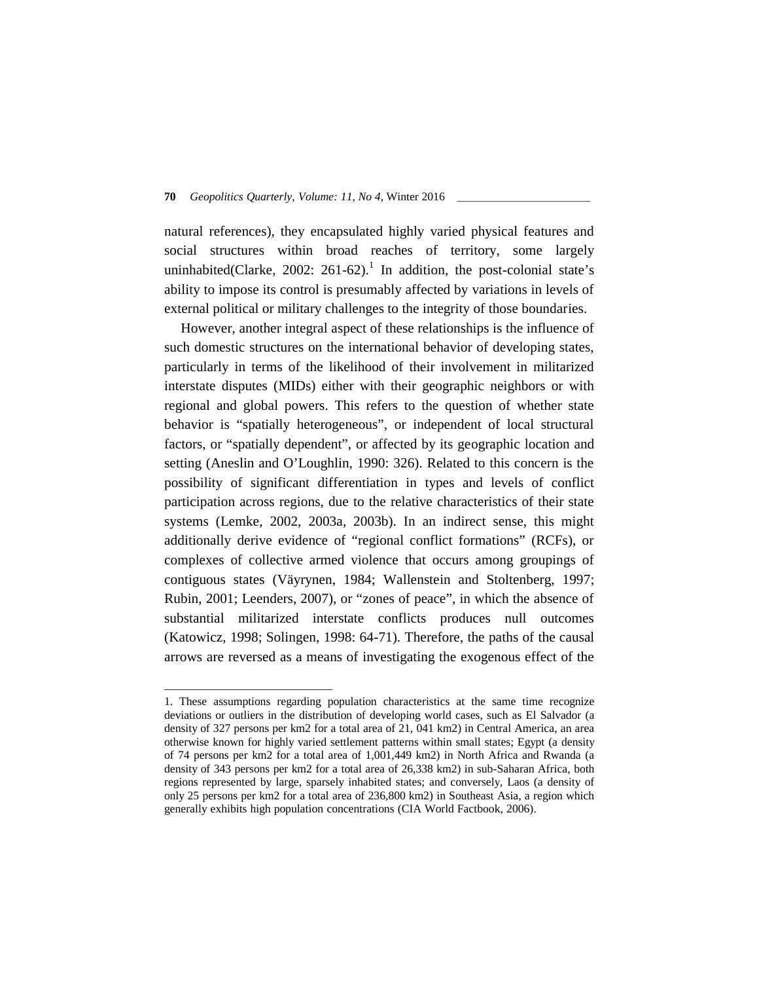natural references), they encapsulated highly varied physical features and social structures within broad reaches of territory, some largely uninhabited(Clarke, 2002: 261-62).<sup>1</sup> In addition, the post-colonial state's ability to impose its control is presumably affected by variations in levels of external political or military challenges to the integrity of those boundaries.

However, another integral aspect of these relationships is the influence of such domestic structures on the international behavior of developing states, particularly in terms of the likelihood of their involvement in militarized interstate disputes (MIDs) either with their geographic neighbors or with regional and global powers. This refers to the question of whether state behavior is "spatially heterogeneous", or independent of local structural factors, or "spatially dependent", or affected by its geographic location and setting (Aneslin and O'Loughlin, 1990: 326). Related to this concern is the possibility of significant differentiation in types and levels of conflict participation across regions, due to the relative characteristics of their state systems (Lemke, 2002, 2003a, 2003b). In an indirect sense, this might additionally derive evidence of "regional conflict formations" (RCFs), or complexes of collective armed violence that occurs among groupings of contiguous states (Väyrynen, 1984; Wallenstein and Stoltenberg, 1997; Rubin, 2001; Leenders, 2007), or "zones of peace", in which the absence of substantial militarized interstate conflicts produces null outcomes (Katowicz, 1998; Solingen, 1998: 64-71). Therefore, the paths of the causal arrows are reversed as a means of investigating the exogenous effect of the

<sup>1.</sup> These assumptions regarding population characteristics at the same time recognize deviations or outliers in the distribution of developing world cases, such as El Salvador (a density of 327 persons per km2 for a total area of 21, 041 km2) in Central America, an area otherwise known for highly varied settlement patterns within small states; Egypt (a density of 74 persons per km2 for a total area of 1,001,449 km2) in North Africa and Rwanda (a density of 343 persons per km2 for a total area of 26,338 km2) in sub-Saharan Africa, both regions represented by large, sparsely inhabited states; and conversely, Laos (a density of only 25 persons per km2 for a total area of 236,800 km2) in Southeast Asia, a region which generally exhibits high population concentrations (CIA World Factbook, 2006).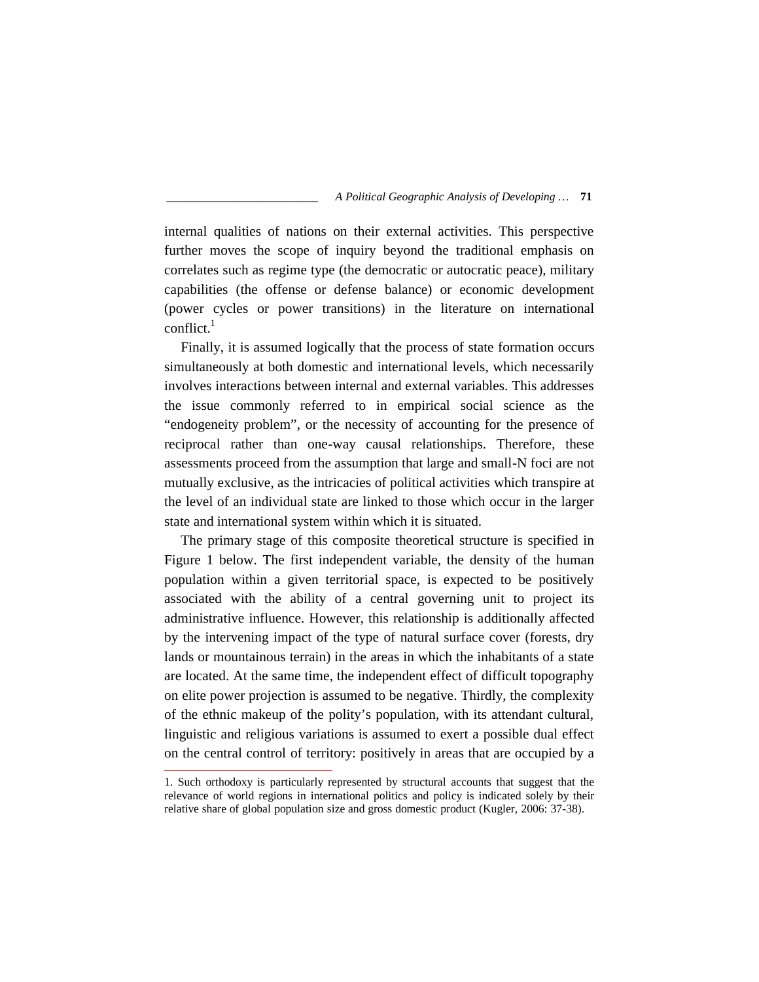internal qualities of nations on their external activities. This perspective further moves the scope of inquiry beyond the traditional emphasis on correlates such as regime type (the democratic or autocratic peace), military capabilities (the offense or defense balance) or economic development (power cycles or power transitions) in the literature on international  $conflict.<sup>1</sup>$ 

Finally, it is assumed logically that the process of state formation occurs simultaneously at both domestic and international levels, which necessarily involves interactions between internal and external variables. This addresses the issue commonly referred to in empirical social science as the "endogeneity problem", or the necessity of accounting for the presence of reciprocal rather than one-way causal relationships. Therefore, these assessments proceed from the assumption that large and small-N foci are not mutually exclusive, as the intricacies of political activities which transpire at the level of an individual state are linked to those which occur in the larger state and international system within which it is situated.

The primary stage of this composite theoretical structure is specified in Figure 1 below. The first independent variable, the density of the human population within a given territorial space, is expected to be positively associated with the ability of a central governing unit to project its administrative influence. However, this relationship is additionally affected by the intervening impact of the type of natural surface cover (forests, dry lands or mountainous terrain) in the areas in which the inhabitants of a state are located. At the same time, the independent effect of difficult topography on elite power projection is assumed to be negative. Thirdly, the complexity of the ethnic makeup of the polity's population, with its attendant cultural, linguistic and religious variations is assumed to exert a possible dual effect on the central control of territory: positively in areas that are occupied by a

<sup>1.</sup> Such orthodoxy is particularly represented by structural accounts that suggest that the relevance of world regions in international politics and policy is indicated solely by their relative share of global population size and gross domestic product (Kugler, 2006: 37-38).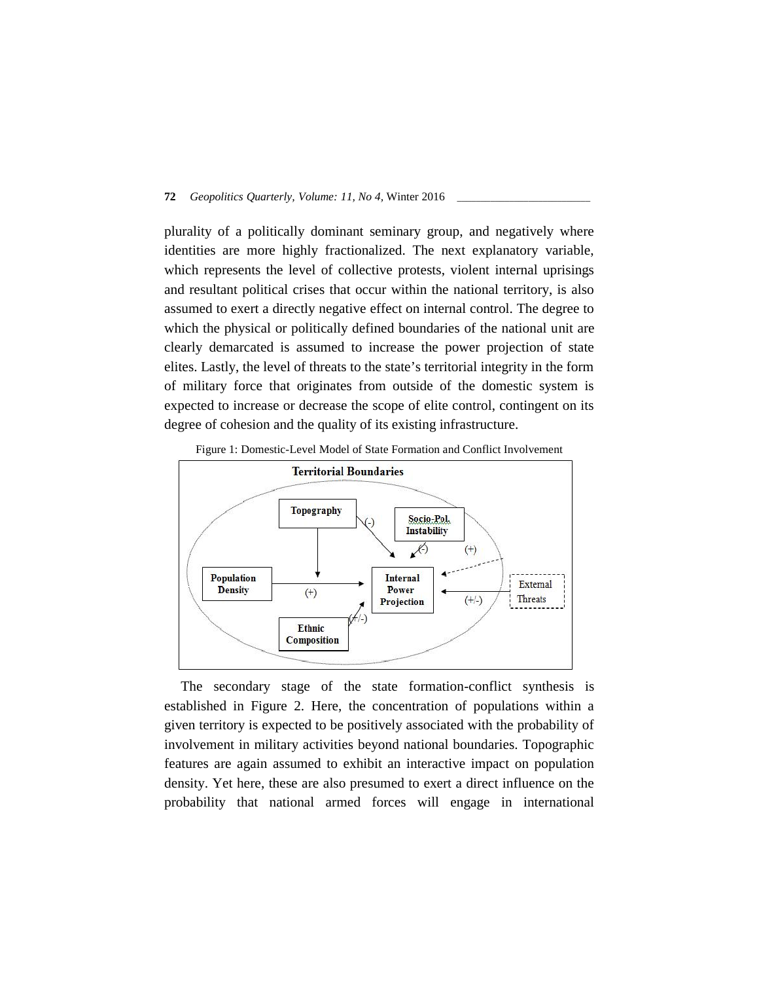plurality of a politically dominant seminary group, and negatively where identities are more highly fractionalized. The next explanatory variable, which represents the level of collective protests, violent internal uprisings and resultant political crises that occur within the national territory, is also assumed to exert a directly negative effect on internal control. The degree to which the physical or politically defined boundaries of the national unit are clearly demarcated is assumed to increase the power projection of state elites. Lastly, the level of threats to the state's territorial integrity in the form of military force that originates from outside of the domestic system is expected to increase or decrease the scope of elite control, contingent on its degree of cohesion and the quality of its existing infrastructure.



Figure 1: Domestic-Level Model of State Formation and Conflict Involvement

The secondary stage of the state formation-conflict synthesis is established in Figure 2. Here, the concentration of populations within a given territory is expected to be positively associated with the probability of involvement in military activities beyond national boundaries. Topographic features are again assumed to exhibit an interactive impact on population density. Yet here, these are also presumed to exert a direct influence on the probability that national armed forces will engage in international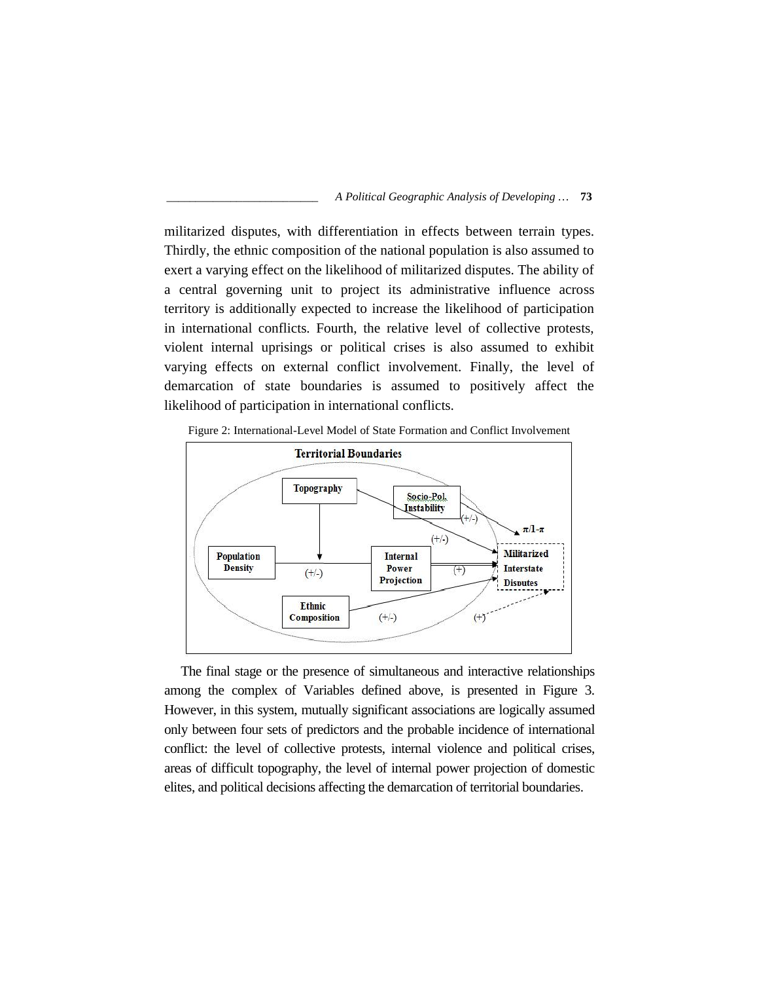

militarized disputes, with differentiation in effects between terrain types. Thirdly, the ethnic composition of the national population is also assumed to exert a varying effect on the likelihood of militarized disputes. The ability of a central governing unit to project its administrative influence across territory is additionally expected to increase the likelihood of participation in international conflicts. Fourth, the relative level of collective protests, violent internal uprisings or political crises is also assumed to exhibit varying effects on external conflict involvement. Finally, the level of demarcation of state boundaries is assumed to positively affect the likelihood of participation in international conflicts.



Figure 2: International-Level Model of State Formation and Conflict Involvement

The final stage or the presence of simultaneous and interactive relationships among the complex of Variables defined above, is presented in Figure 3. However, in this system, mutually significant associations are logically assumed only between four sets of predictors and the probable incidence of international conflict: the level of collective protests, internal violence and political crises, areas of difficult topography, the level of internal power projection of domestic elites, and political decisions affecting the demarcation of territorial boundaries.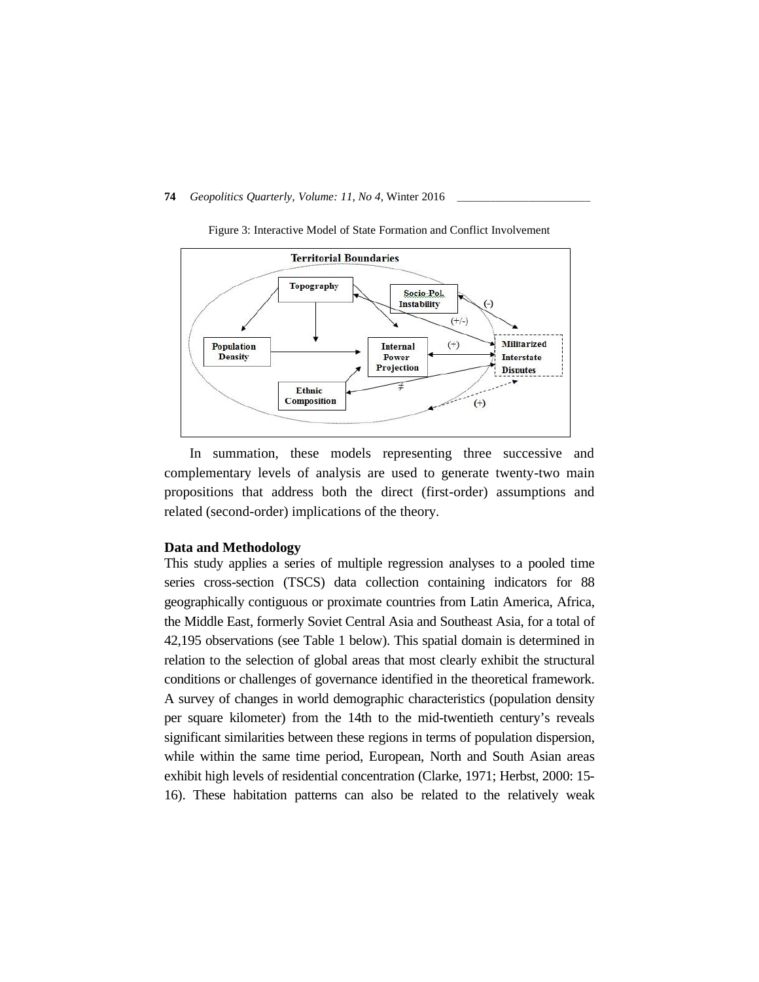

Figure 3: Interactive Model of State Formation and Conflict Involvement

In summation, these models representing three successive and complementary levels of analysis are used to generate twenty-two main propositions that address both the direct (first-order) assumptions and related (second-order) implications of the theory.

## **Data and Methodology**

This study applies a series of multiple regression analyses to a pooled time series cross-section (TSCS) data collection containing indicators for 88 geographically contiguous or proximate countries from Latin America, Africa, the Middle East, formerly Soviet Central Asia and Southeast Asia, for a total of 42,195 observations (see Table 1 below). This spatial domain is determined in relation to the selection of global areas that most clearly exhibit the structural conditions or challenges of governance identified in the theoretical framework. A survey of changes in world demographic characteristics (population density per square kilometer) from the 14th to the mid-twentieth century's reveals significant similarities between these regions in terms of population dispersion, while within the same time period, European, North and South Asian areas exhibit high levels of residential concentration (Clarke, 1971; Herbst, 2000: 15- 16). These habitation patterns can also be related to the relatively weak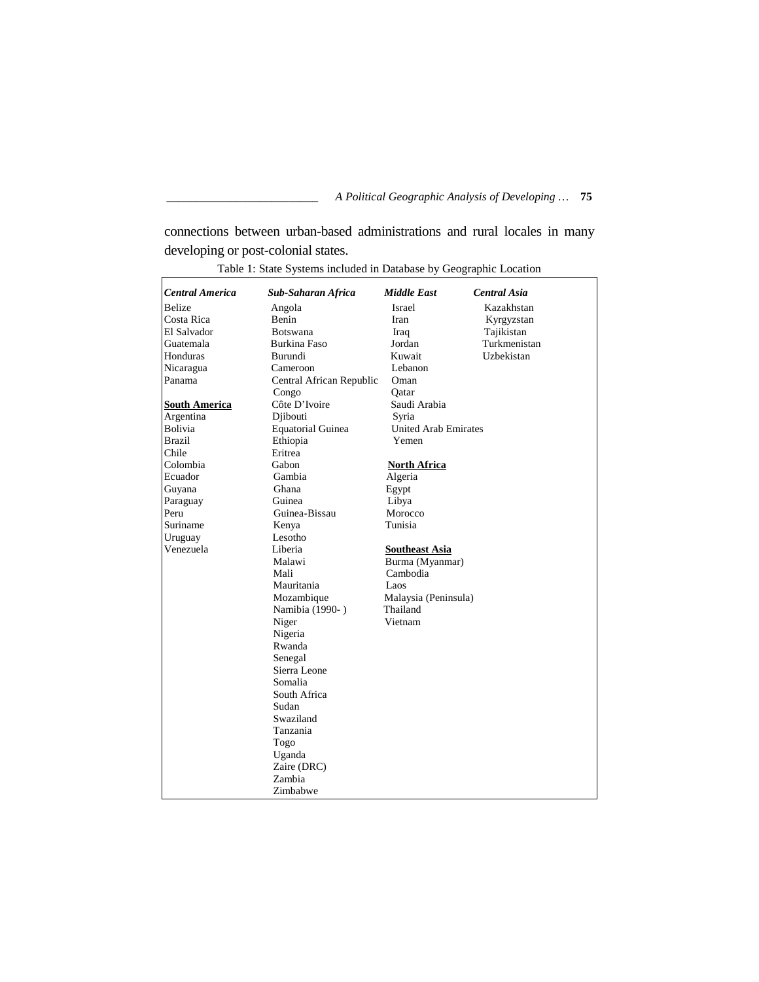connections between urban-based administrations and rural locales in many developing or post-colonial states.

| <b>Central America</b> | Sub-Saharan Africa       | <b>Middle East</b>          | <b>Central Asia</b> |
|------------------------|--------------------------|-----------------------------|---------------------|
| <b>Belize</b>          | Angola                   | <b>Israel</b>               | Kazakhstan          |
| Costa Rica             | <b>Benin</b>             | Iran                        | Kyrgyzstan          |
| El Salvador            | <b>Botswana</b>          | Iraq                        | Tajikistan          |
| Guatemala              | Burkina Faso             | Jordan                      | Turkmenistan        |
| Honduras               | Burundi                  | Kuwait                      | Uzbekistan          |
| Nicaragua              | Cameroon                 | Lebanon                     |                     |
| Panama                 | Central African Republic | Oman                        |                     |
|                        | Congo                    | Oatar                       |                     |
| <b>South America</b>   | Côte D'Ivoire            | Saudi Arabia                |                     |
| Argentina              | Djibouti                 | Syria                       |                     |
| Bolivia                | <b>Equatorial Guinea</b> | <b>United Arab Emirates</b> |                     |
| Brazil                 | Ethiopia                 | Yemen                       |                     |
| Chile                  | Eritrea                  |                             |                     |
| Colombia               | Gabon                    | <b>North Africa</b>         |                     |
| Ecuador                | Gambia                   | Algeria                     |                     |
| Guyana                 | Ghana                    | Egypt                       |                     |
| Paraguay               | Guinea                   | Libya                       |                     |
| Peru                   | Guinea-Bissau            | Morocco                     |                     |
| Suriname               | Kenya                    | Tunisia                     |                     |
| Uruguay                | Lesotho                  |                             |                     |
| Venezuela              | Liberia                  | <b>Southeast Asia</b>       |                     |
|                        | Malawi                   | Burma (Myanmar)             |                     |
|                        | Mali                     | Cambodia                    |                     |
|                        | Mauritania               | Laos                        |                     |
|                        | Mozambique               | Malaysia (Peninsula)        |                     |
|                        | Namibia (1990-)          | Thailand                    |                     |
|                        | Niger                    | Vietnam                     |                     |
|                        | Nigeria                  |                             |                     |
|                        | Rwanda                   |                             |                     |
|                        | Senegal                  |                             |                     |
|                        | Sierra Leone             |                             |                     |
|                        | Somalia                  |                             |                     |
|                        | South Africa             |                             |                     |
|                        | Sudan                    |                             |                     |
|                        | Swaziland                |                             |                     |
|                        | Tanzania                 |                             |                     |
|                        | Togo                     |                             |                     |
|                        | Uganda                   |                             |                     |
|                        | Zaire (DRC)              |                             |                     |
|                        | Zambia                   |                             |                     |
|                        | Zimbabwe                 |                             |                     |

Table 1: State Systems included in Database by Geographic Location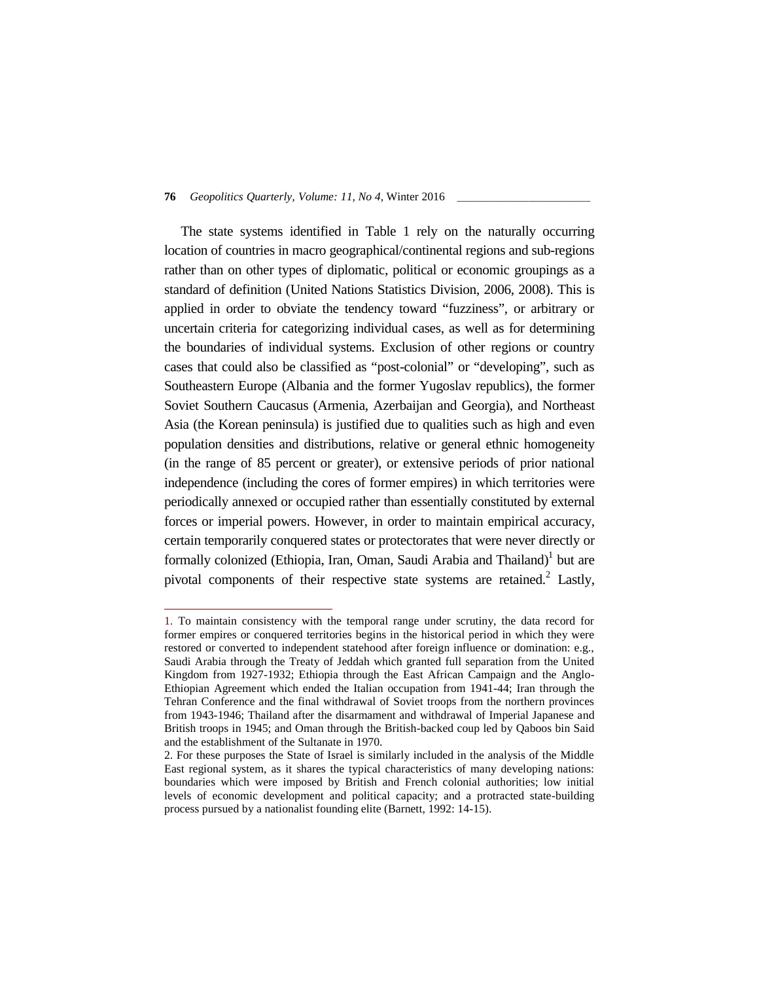The state systems identified in Table 1 rely on the naturally occurring location of countries in macro geographical/continental regions and sub-regions rather than on other types of diplomatic, political or economic groupings as a standard of definition (United Nations Statistics Division, 2006, 2008). This is applied in order to obviate the tendency toward "fuzziness", or arbitrary or uncertain criteria for categorizing individual cases, as well as for determining the boundaries of individual systems. Exclusion of other regions or country cases that could also be classified as "post-colonial" or "developing", such as Southeastern Europe (Albania and the former Yugoslav republics), the former Soviet Southern Caucasus (Armenia, Azerbaijan and Georgia), and Northeast Asia (the Korean peninsula) is justified due to qualities such as high and even population densities and distributions, relative or general ethnic homogeneity (in the range of 85 percent or greater), or extensive periods of prior national independence (including the cores of former empires) in which territories were periodically annexed or occupied rather than essentially constituted by external forces or imperial powers. However, in order to maintain empirical accuracy, certain temporarily conquered states or protectorates that were never directly or formally colonized (Ethiopia, Iran, Oman, Saudi Arabia and Thailand)<sup>1</sup> but are pivotal components of their respective state systems are retained. $2$  Lastly,

<sup>1.</sup> To maintain consistency with the temporal range under scrutiny, the data record for former empires or conquered territories begins in the historical period in which they were restored or converted to independent statehood after foreign influence or domination: e.g., Saudi Arabia through the Treaty of Jeddah which granted full separation from the United Kingdom from 1927-1932; Ethiopia through the East African Campaign and the Anglo- Ethiopian Agreement which ended the Italian occupation from 1941-44; Iran through the Tehran Conference and the final withdrawal of Soviet troops from the northern provinces from 1943-1946; Thailand after the disarmament and withdrawal of Imperial Japanese and British troops in 1945; and Oman through the British-backed coup led by Qaboos bin Said and the establishment of the Sultanate in 1970.

<sup>2.</sup> For these purposes the State of Israel is similarly included in the analysis of the Middle East regional system, as it shares the typical characteristics of many developing nations: boundaries which were imposed by British and French colonial authorities; low initial levels of economic development and political capacity; and a protracted state-building process pursued by a nationalist founding elite (Barnett, 1992: 14-15).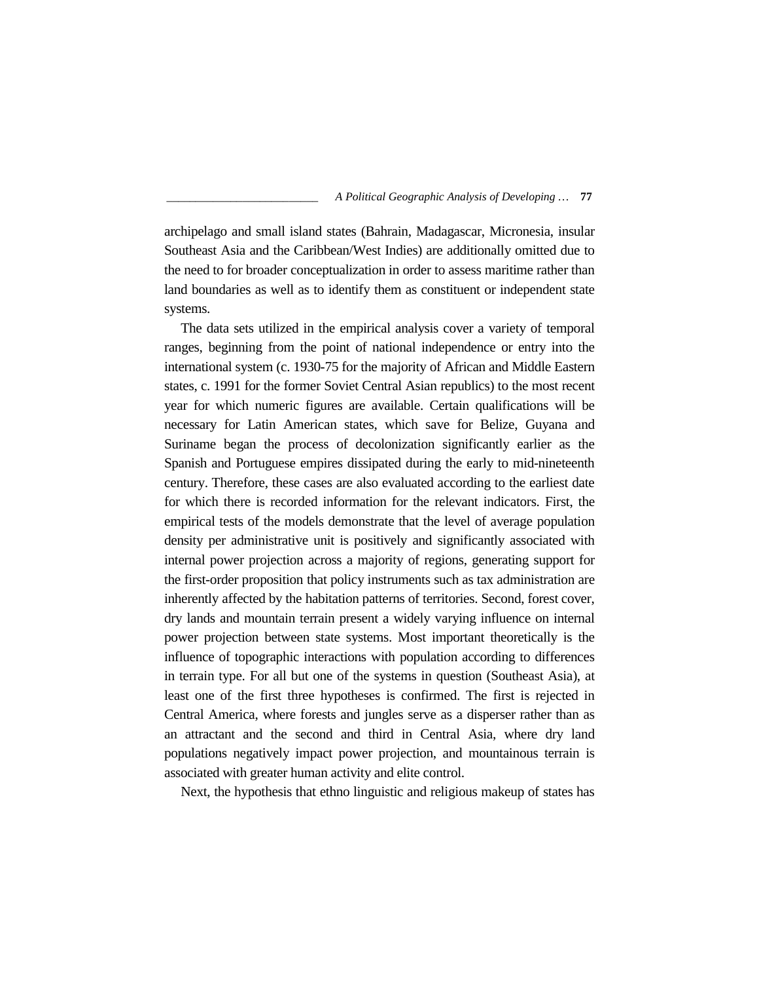archipelago and small island states (Bahrain, Madagascar, Micronesia, insular Southeast Asia and the Caribbean/West Indies) are additionally omitted due to the need to for broader conceptualization in order to assess maritime rather than land boundaries as well as to identify them as constituent or independent state systems.

The data sets utilized in the empirical analysis cover a variety of temporal ranges, beginning from the point of national independence or entry into the international system (c. 1930-75 for the majority of African and Middle Eastern states, c. 1991 for the former Soviet Central Asian republics) to the most recent year for which numeric figures are available. Certain qualifications will be necessary for Latin American states, which save for Belize, Guyana and Suriname began the process of decolonization significantly earlier as the Spanish and Portuguese empires dissipated during the early to mid-nineteenth century. Therefore, these cases are also evaluated according to the earliest date for which there is recorded information for the relevant indicators. First, the empirical tests of the models demonstrate that the level of average population density per administrative unit is positively and significantly associated with internal power projection across a majority of regions, generating support for the first-order proposition that policy instruments such as tax administration are inherently affected by the habitation patterns of territories. Second, forest cover, dry lands and mountain terrain present a widely varying influence on internal power projection between state systems. Most important theoretically is the influence of topographic interactions with population according to differences in terrain type. For all but one of the systems in question (Southeast Asia), at least one of the first three hypotheses is confirmed. The first is rejected in Central America, where forests and jungles serve as a disperser rather than as an attractant and the second and third in Central Asia, where dry land populations negatively impact power projection, and mountainous terrain is associated with greater human activity and elite control.

Next, the hypothesis that ethno linguistic and religious makeup of states has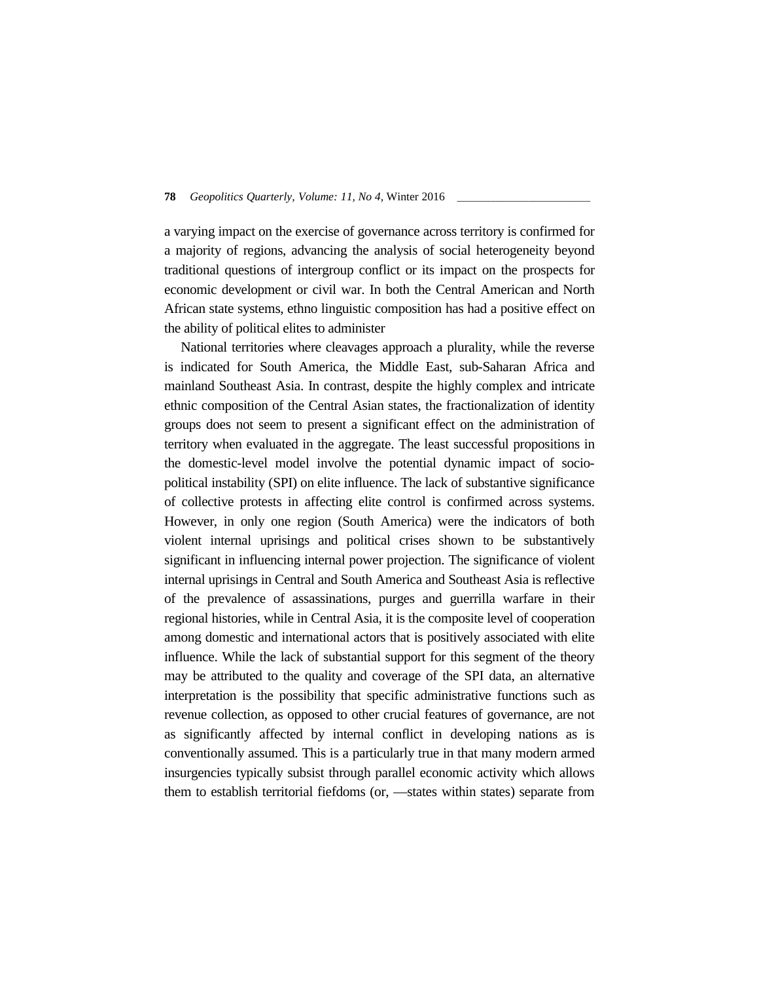a varying impact on the exercise of governance across territory is confirmed for a majority of regions, advancing the analysis of social heterogeneity beyond traditional questions of intergroup conflict or its impact on the prospects for economic development or civil war. In both the Central American and North African state systems, ethno linguistic composition has had a positive effect on the ability of political elites to administer

National territories where cleavages approach a plurality, while the reverse is indicated for South America, the Middle East, sub-Saharan Africa and mainland Southeast Asia. In contrast, despite the highly complex and intricate ethnic composition of the Central Asian states, the fractionalization of identity groups does not seem to present a significant effect on the administration of territory when evaluated in the aggregate. The least successful propositions in the domestic-level model involve the potential dynamic impact of socio political instability (SPI) on elite influence. The lack of substantive significance of collective protests in affecting elite control is confirmed across systems. However, in only one region (South America) were the indicators of both violent internal uprisings and political crises shown to be substantively significant in influencing internal power projection. The significance of violent internal uprisings in Central and South America and Southeast Asia is reflective of the prevalence of assassinations, purges and guerrilla warfare in their regional histories, while in Central Asia, it is the composite level of cooperation among domestic and international actors that is positively associated with elite influence. While the lack of substantial support for this segment of the theory may be attributed to the quality and coverage of the SPI data, an alternative interpretation is the possibility that specific administrative functions such as revenue collection, as opposed to other crucial features of governance, are not as significantly affected by internal conflict in developing nations as is conventionally assumed. This is a particularly true in that many modern armed insurgencies typically subsist through parallel economic activity which allows them to establish territorial fiefdoms (or, ―states within states) separate from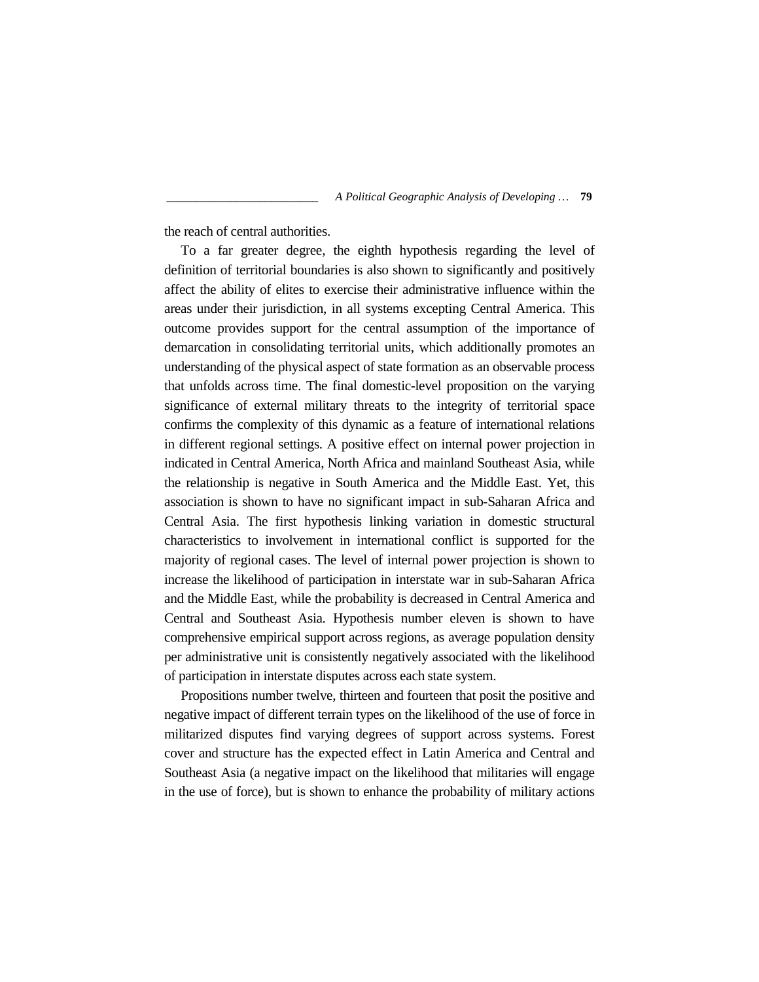the reach of central authorities.

To a far greater degree, the eighth hypothesis regarding the level of definition of territorial boundaries is also shown to significantly and positively affect the ability of elites to exercise their administrative influence within the areas under their jurisdiction, in all systems excepting Central America. This outcome provides support for the central assumption of the importance of demarcation in consolidating territorial units, which additionally promotes an understanding of the physical aspect of state formation as an observable process that unfolds across time. The final domestic-level proposition on the varying significance of external military threats to the integrity of territorial space confirms the complexity of this dynamic as a feature of international relations in different regional settings. A positive effect on internal power projection in indicated in Central America, North Africa and mainland Southeast Asia, while the relationship is negative in South America and the Middle East. Yet, this association is shown to have no significant impact in sub-Saharan Africa and Central Asia. The first hypothesis linking variation in domestic structural characteristics to involvement in international conflict is supported for the majority of regional cases. The level of internal power projection is shown to increase the likelihood of participation in interstate war in sub-Saharan Africa and the Middle East, while the probability is decreased in Central America and Central and Southeast Asia. Hypothesis number eleven is shown to have comprehensive empirical support across regions, as average population density per administrative unit is consistently negatively associated with the likelihood of participation in interstate disputes across each state system.

Propositions number twelve, thirteen and fourteen that posit the positive and negative impact of different terrain types on the likelihood of the use of force in militarized disputes find varying degrees of support across systems. Forest cover and structure has the expected effect in Latin America and Central and Southeast Asia (a negative impact on the likelihood that militaries will engage in the use of force), but is shown to enhance the probability of military actions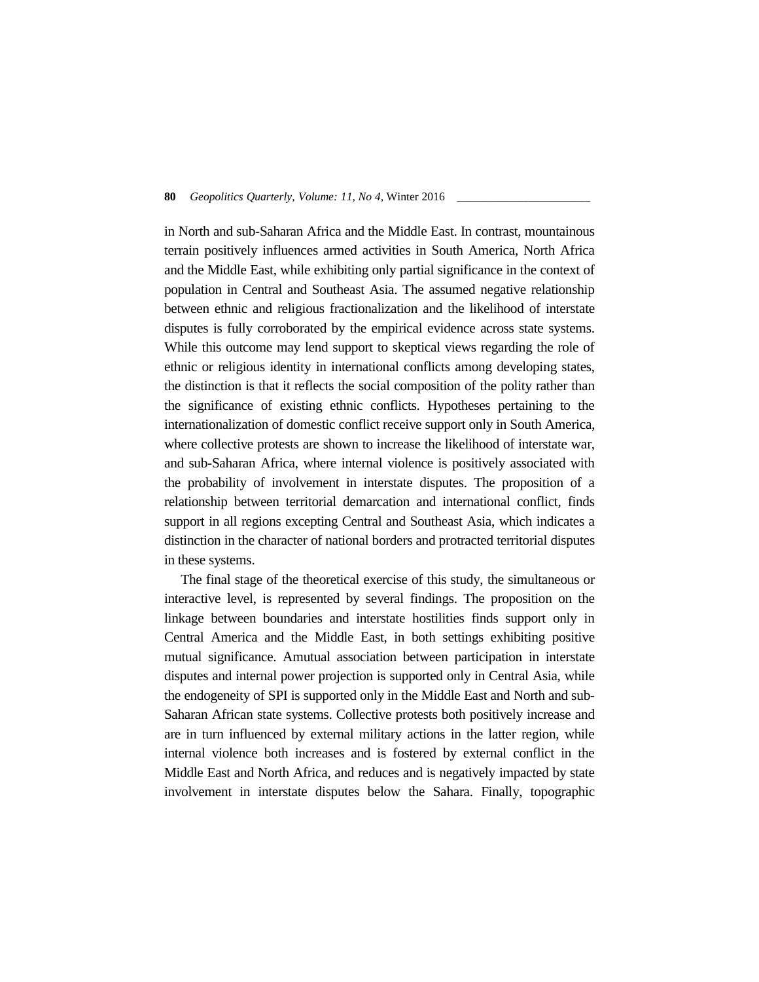in North and sub-Saharan Africa and the Middle East. In contrast, mountainous terrain positively influences armed activities in South America, North Africa and the Middle East, while exhibiting only partial significance in the context of population in Central and Southeast Asia. The assumed negative relationship between ethnic and religious fractionalization and the likelihood of interstate disputes is fully corroborated by the empirical evidence across state systems. While this outcome may lend support to skeptical views regarding the role of ethnic or religious identity in international conflicts among developing states, the distinction is that it reflects the social composition of the polity rather than the significance of existing ethnic conflicts. Hypotheses pertaining to the internationalization of domestic conflict receive support only in South America, where collective protests are shown to increase the likelihood of interstate war, and sub-Saharan Africa, where internal violence is positively associated with the probability of involvement in interstate disputes. The proposition of a relationship between territorial demarcation and international conflict, finds support in all regions excepting Central and Southeast Asia, which indicates a distinction in the character of national borders and protracted territorial disputes in these systems.

The final stage of the theoretical exercise of this study, the simultaneous or interactive level, is represented by several findings. The proposition on the linkage between boundaries and interstate hostilities finds support only in Central America and the Middle East, in both settings exhibiting positive mutual significance. Amutual association between participation in interstate disputes and internal power projection is supported only in Central Asia, while the endogeneity of SPI is supported only in the Middle East and North and sub- Saharan African state systems. Collective protests both positively increase and are in turn influenced by external military actions in the latter region, while internal violence both increases and is fostered by external conflict in the Middle East and North Africa, and reduces and is negatively impacted by state involvement in interstate disputes below the Sahara. Finally, topographic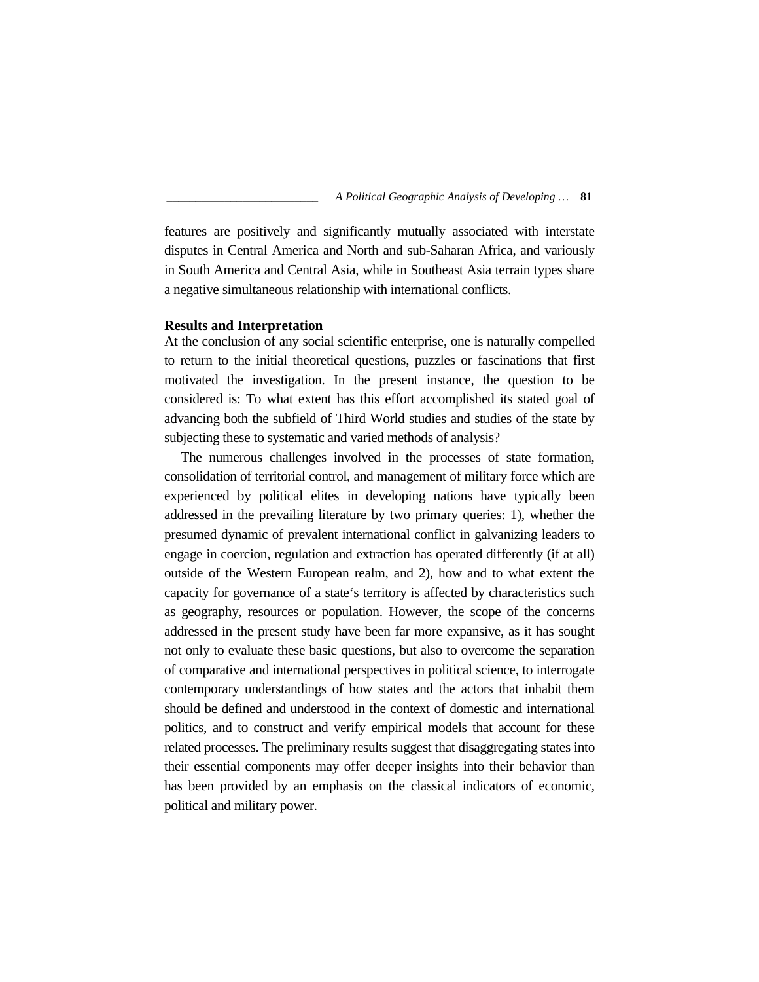features are positively and significantly mutually associated with interstate disputes in Central America and North and sub-Saharan Africa, and variously in South America and Central Asia, while in Southeast Asia terrain types share a negative simultaneous relationship with international conflicts.

## **Results and Interpretation**

At the conclusion of any social scientific enterprise, one is naturally compelled to return to the initial theoretical questions, puzzles or fascinations that first motivated the investigation. In the present instance, the question to be considered is: To what extent has this effort accomplished its stated goal of advancing both the subfield of Third World studies and studies of the state by subjecting these to systematic and varied methods of analysis?

The numerous challenges involved in the processes of state formation, consolidation of territorial control, and management of military force which are experienced by political elites in developing nations have typically been addressed in the prevailing literature by two primary queries: 1), whether the presumed dynamic of prevalent international conflict in galvanizing leaders to engage in coercion, regulation and extraction has operated differently (if at all) outside of the Western European realm, and 2), how and to what extent the capacity for governance of a state's territory is affected by characteristics such as geography, resources or population. However, the scope of the concerns addressed in the present study have been far more expansive, as it has sought not only to evaluate these basic questions, but also to overcome the separation of comparative and international perspectives in political science, to interrogate contemporary understandings of how states and the actors that inhabit them should be defined and understood in the context of domestic and international politics, and to construct and verify empirical models that account for these related processes. The preliminary results suggest that disaggregating states into their essential components may offer deeper insights into their behavior than has been provided by an emphasis on the classical indicators of economic, political and military power.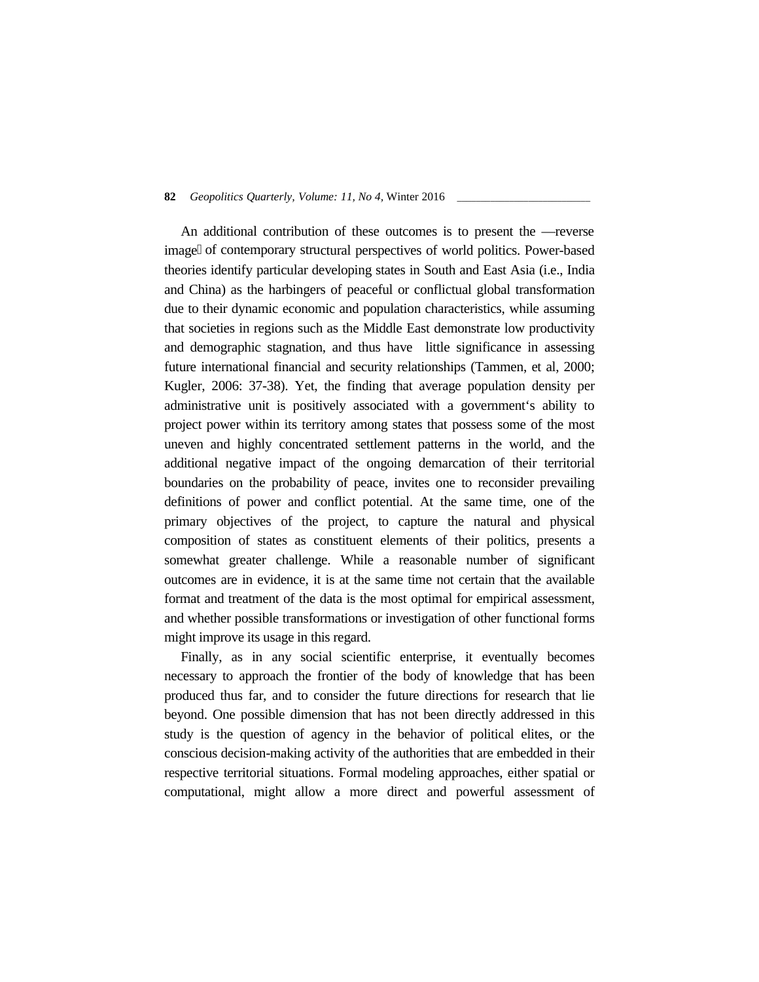An additional contribution of these outcomes is to present the reverse image of contemporary structural perspectives of world politics. Power-based theories identify particular developing states in South and East Asia (i.e., India and China) as the harbingers of peaceful or conflictual global transformation due to their dynamic economic and population characteristics, while assuming that societies in regions such as the Middle East demonstrate low productivity and demographic stagnation, and thus have little significance in assessing future international financial and security relationships (Tammen, et al, 2000; Kugler, 2006: 37-38). Yet, the finding that average population density per administrative unit is positively associated with a government's ability to project power within its territory among states that possess some of the most uneven and highly concentrated settlement patterns in the world, and the additional negative impact of the ongoing demarcation of their territorial boundaries on the probability of peace, invites one to reconsider prevailing definitions of power and conflict potential. At the same time, one of the primary objectives of the project, to capture the natural and physical composition of states as constituent elements of their politics, presents a somewhat greater challenge. While a reasonable number of significant outcomes are in evidence, it is at the same time not certain that the available format and treatment of the data is the most optimal for empirical assessment, and whether possible transformations or investigation of other functional forms might improve its usage in this regard.

Finally, as in any social scientific enterprise, it eventually becomes necessary to approach the frontier of the body of knowledge that has been produced thus far, and to consider the future directions for research that lie beyond. One possible dimension that has not been directly addressed in this study is the question of agency in the behavior of political elites, or the conscious decision-making activity of the authorities that are embedded in their respective territorial situations. Formal modeling approaches, either spatial or computational, might allow a more direct and powerful assessment of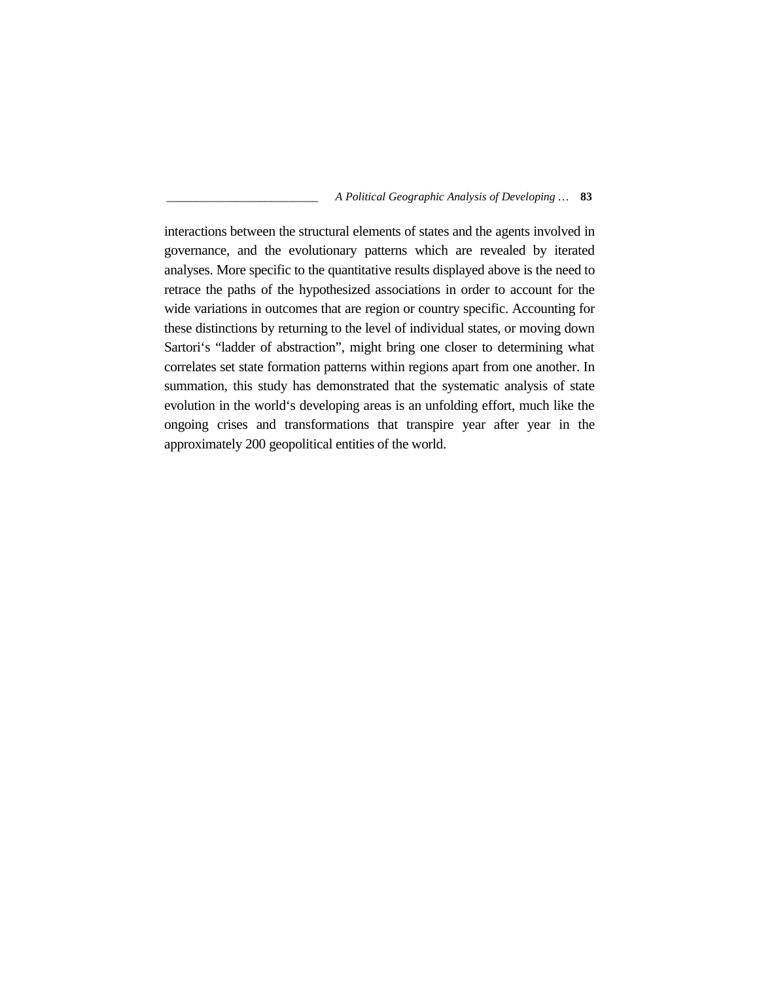interactions between the structural elements of states and the agents involved in governance, and the evolutionary patterns which are revealed by iterated analyses. More specific to the quantitative results displayed above is the need to retrace the paths of the hypothesized associations in order to account for the wide variations in outcomes that are region or country specific. Accounting for these distinctions by returning to the level of individual states, or moving down Sartori's "ladder of abstraction", might bring one closer to determining what correlates set state formation patterns within regions apart from one another. In summation, this study has demonstrated that the systematic analysis of state evolution in the world's developing areas is an unfolding effort, much like the ongoing crises and transformations that transpire year after year in the approximately 200 geopolitical entities of the world.